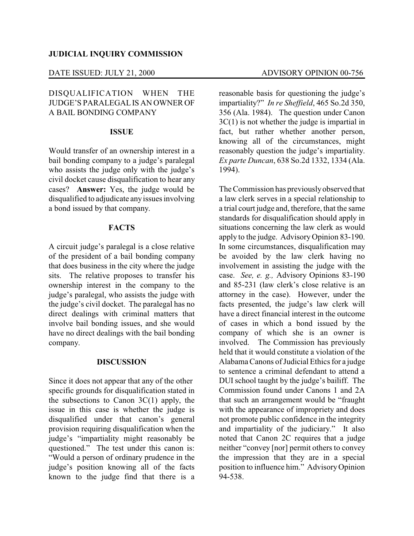#### DATE ISSUED: JULY 21, 2000 ADVISORY OPINION 00-756

# DISQUALIFICATION WHEN THE JUDGE'S PARALEGALIS AN OWNER OF A BAIL BONDING COMPANY

#### **ISSUE**

Would transfer of an ownership interest in a bail bonding company to a judge's paralegal who assists the judge only with the judge's civil docket cause disqualification to hear any cases? **Answer:** Yes, the judge would be disqualified to adjudicate anyissues involving a bond issued by that company.

## **FACTS**

A circuit judge's paralegal is a close relative of the president of a bail bonding company that does business in the city where the judge sits. The relative proposes to transfer his ownership interest in the company to the judge's paralegal, who assists the judge with the judge's civil docket. The paralegal has no direct dealings with criminal matters that involve bail bonding issues, and she would have no direct dealings with the bail bonding company.

#### **DISCUSSION**

Since it does not appear that any of the other specific grounds for disqualification stated in the subsections to Canon  $3C(1)$  apply, the issue in this case is whether the judge is disqualified under that canon's general provision requiring disqualification when the judge's "impartiality might reasonably be questioned." The test under this canon is: "Would a person of ordinary prudence in the judge's position knowing all of the facts known to the judge find that there is a

reasonable basis for questioning the judge's impartiality?" *In re Sheffield*, 465 So.2d 350, 356 (Ala. 1984). The question under Canon 3C(1) is not whether the judge is impartial in fact, but rather whether another person, knowing all of the circumstances, might reasonably question the judge's impartiality. *Ex parte Duncan*, 638 So.2d 1332, 1334 (Ala. 1994).

The Commission has previouslyobserved that a law clerk serves in a special relationship to a trial court judge and, therefore, that the same standards for disqualification should apply in situations concerning the law clerk as would apply to the judge. Advisory Opinion 83-190. In some circumstances, disqualification may be avoided by the law clerk having no involvement in assisting the judge with the case. *See, e. g.,* Advisory Opinions 83-190 and 85-231 (law clerk's close relative is an attorney in the case). However, under the facts presented, the judge's law clerk will have a direct financial interest in the outcome of cases in which a bond issued by the company of which she is an owner is involved. The Commission has previously held that it would constitute a violation of the AlabamaCanons of Judicial Ethics for a judge to sentence a criminal defendant to attend a DUI school taught by the judge's bailiff. The Commission found under Canons 1 and 2A that such an arrangement would be "fraught with the appearance of impropriety and does not promote public confidence in the integrity and impartiality of the judiciary." It also noted that Canon 2C requires that a judge neither "convey [nor] permit others to convey the impression that they are in a special position to influence him." AdvisoryOpinion 94-538.